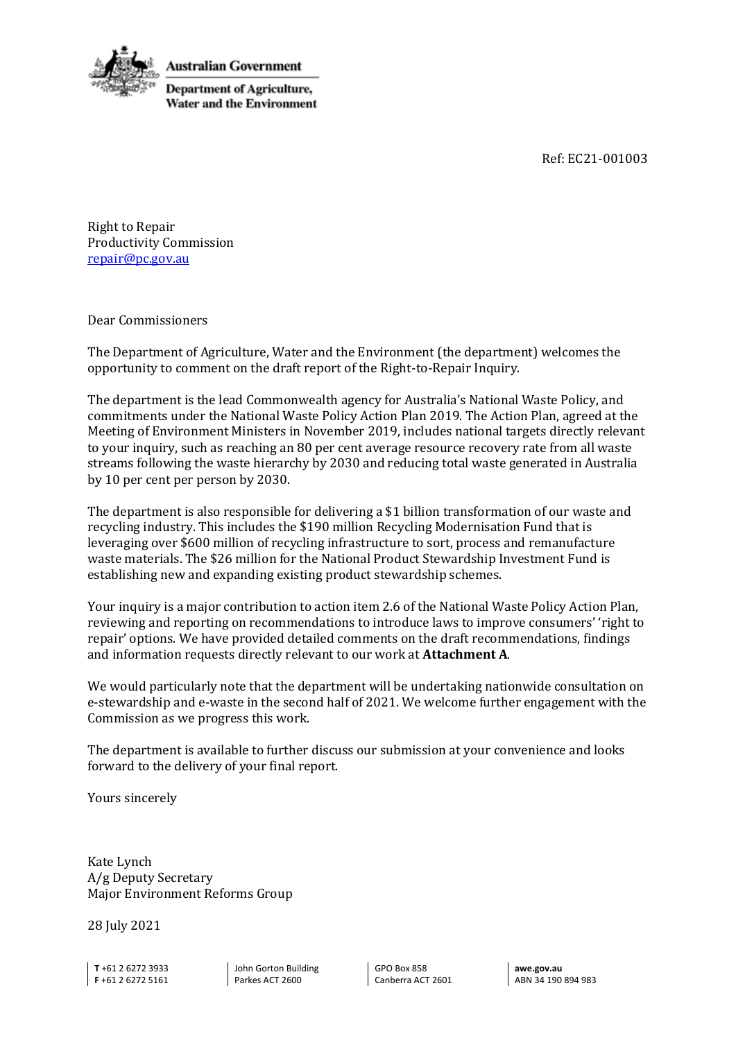



Right to Repair Productivity Commission repair@pc.gov.au

Dear Commissioners

The Department of Agriculture, Water and the Environment (the department) welcomes the opportunity to comment on the draft report of the Right-to-Repair Inquiry.

The department is the lead Commonwealth agency for Australia's National Waste Policy, and commitments under the National Waste Policy Action Plan 2019. The Action Plan, agreed at the Meeting of Environment Ministers in November 2019, includes national targets directly relevant to your inquiry, such as reaching an 80 per cent average resource recovery rate from all waste streams following the waste hierarchy by 2030 and reducing total waste generated in Australia by 10 per cent per person by 2030.

The department is also responsible for delivering a \$1 billion transformation of our waste and recycling industry. This includes the \$190 million Recycling Modernisation Fund that is leveraging over \$600 million of recycling infrastructure to sort, process and remanufacture waste materials. The \$26 million for the National Product Stewardship Investment Fund is establishing new and expanding existing product stewardship schemes.

Your inquiry is a major contribution to action item 2.6 of the National Waste Policy Action Plan, reviewing and reporting on recommendations to introduce laws to improve consumers' 'right to repair' options. We have provided detailed comments on the draft recommendations, findings and information requests directly relevant to our work at **Attachment A**.

We would particularly note that the department will be undertaking nationwide consultation on e-stewardship and e-waste in the second half of 2021. We welcome further engagement with the Commission as we progress this work.

The department is available to further discuss our submission at your convenience and looks forward to the delivery of your final report.

Yours sincerely

Kate Lynch A/g Deputy Secretary Major Environment Reforms Group

28 July 2021

**T** +61 2 6272 3933 **F** +61 2 6272 5161

John Gorton Building Parkes ACT 2600

GPO Box 858 Canberra ACT 2601

**awe.gov.au** ABN 34 190 894 983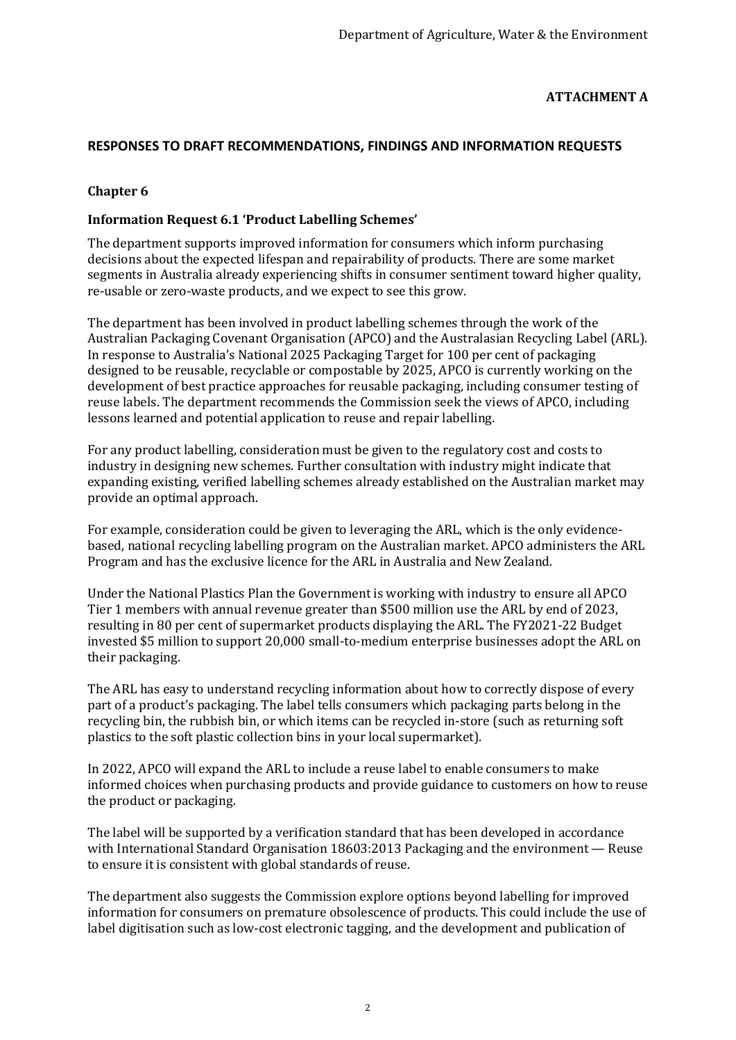# **ATTACHMENT A**

# **RESPONSES TO DRAFT RECOMMENDATIONS, FINDINGS AND INFORMATION REQUESTS**

# **Chapter 6**

## **Information Request 6.1 'Product Labelling Schemes'**

The department supports improved information for consumers which inform purchasing decisions about the expected lifespan and repairability of products. There are some market segments in Australia already experiencing shifts in consumer sentiment toward higher quality, re-usable or zero-waste products, and we expect to see this grow.

The department has been involved in product labelling schemes through the work of the Australian Packaging Covenant Organisation (APCO) and the Australasian Recycling Label (ARL). In response to Australia's National 2025 Packaging Target for 100 per cent of packaging designed to be reusable, recyclable or compostable by 2025, APCO is currently working on the development of best practice approaches for reusable packaging, including consumer testing of reuse labels. The department recommends the Commission seek the views of APCO, including lessons learned and potential application to reuse and repair labelling.

For any product labelling, consideration must be given to the regulatory cost and costs to industry in designing new schemes. Further consultation with industry might indicate that expanding existing, verified labelling schemes already established on the Australian market may provide an optimal approach.

For example, consideration could be given to leveraging the ARL, which is the only evidencebased, national recycling labelling program on the Australian market. APCO administers the ARL Program and has the exclusive licence for the ARL in Australia and New Zealand.

Under the National Plastics Plan the Government is working with industry to ensure all APCO Tier 1 members with annual revenue greater than \$500 million use the ARL by end of 2023, resulting in 80 per cent of supermarket products displaying the ARL. The FY2021-22 Budget invested \$5 million to support 20,000 small-to-medium enterprise businesses adopt the ARL on their packaging.

The ARL has easy to understand recycling information about how to correctly dispose of every part of a product's packaging. The label tells consumers which packaging parts belong in the recycling bin, the rubbish bin, or which items can be recycled in-store (such as returning soft plastics to the soft plastic collection bins in your local supermarket).

In 2022, APCO will expand the ARL to include a reuse label to enable consumers to make informed choices when purchasing products and provide guidance to customers on how to reuse the product or packaging.

The label will be supported by a verification standard that has been developed in accordance with International Standard Organisation 18603:2013 Packaging and the environment — Reuse to ensure it is consistent with global standards of reuse.

The department also suggests the Commission explore options beyond labelling for improved information for consumers on premature obsolescence of products. This could include the use of label digitisation such as low-cost electronic tagging, and the development and publication of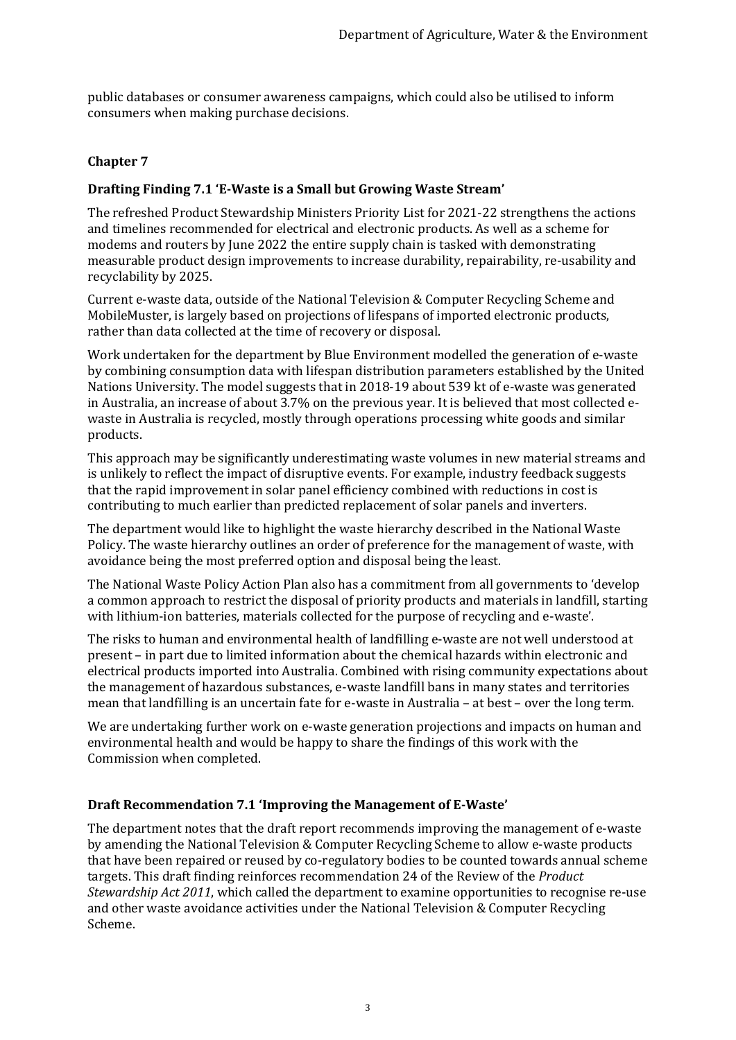public databases or consumer awareness campaigns, which could also be utilised to inform consumers when making purchase decisions.

## **Chapter 7**

### **Drafting Finding 7.1 'E-Waste is a Small but Growing Waste Stream'**

The refreshed Product Stewardship Ministers Priority List for 2021-22 strengthens the actions and timelines recommended for electrical and electronic products. As well as a scheme for modems and routers by June 2022 the entire supply chain is tasked with demonstrating measurable product design improvements to increase durability, repairability, re-usability and recyclability by 2025.

Current e-waste data, outside of the National Television & Computer Recycling Scheme and MobileMuster, is largely based on projections of lifespans of imported electronic products, rather than data collected at the time of recovery or disposal.

Work undertaken for the department by Blue Environment modelled the generation of e-waste by combining consumption data with lifespan distribution parameters established by the United Nations University. The model suggests that in 2018-19 about 539 kt of e-waste was generated in Australia, an increase of about 3.7% on the previous year. It is believed that most collected ewaste in Australia is recycled, mostly through operations processing white goods and similar products.

This approach may be significantly underestimating waste volumes in new material streams and is unlikely to reflect the impact of disruptive events. For example, industry feedback suggests that the rapid improvement in solar panel efficiency combined with reductions in cost is contributing to much earlier than predicted replacement of solar panels and inverters.

The department would like to highlight the waste hierarchy described in the National Waste Policy. The waste hierarchy outlines an order of preference for the management of waste, with avoidance being the most preferred option and disposal being the least.

The National Waste Policy Action Plan also has a commitment from all governments to 'develop a common approach to restrict the disposal of priority products and materials in landfill, starting with lithium-ion batteries, materials collected for the purpose of recycling and e-waste'.

The risks to human and environmental health of landfilling e-waste are not well understood at present – in part due to limited information about the chemical hazards within electronic and electrical products imported into Australia. Combined with rising community expectations about the management of hazardous substances, e-waste landfill bans in many states and territories mean that landfilling is an uncertain fate for e-waste in Australia – at best – over the long term.

We are undertaking further work on e-waste generation projections and impacts on human and environmental health and would be happy to share the findings of this work with the Commission when completed.

#### **Draft Recommendation 7.1 'Improving the Management of E-Waste'**

The department notes that the draft report recommends improving the management of e-waste by amending the National Television & Computer Recycling Scheme to allow e-waste products that have been repaired or reused by co-regulatory bodies to be counted towards annual scheme targets. This draft finding reinforces recommendation 24 of the Review of the *Product Stewardship Act 2011*, which called the department to examine opportunities to recognise re-use and other waste avoidance activities under the National Television & Computer Recycling Scheme.